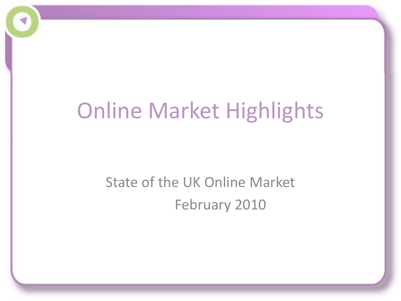## Online Market Highlights

### State of the UK Online Market February 2010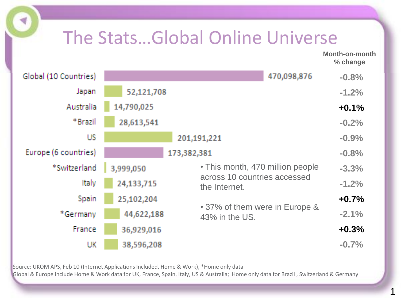### The Stats…Global Online Universe

**Month-on-month % change**

| Global (10 Countries) | 470,098,876                                   |                                                  | $-0.8%$ |  |
|-----------------------|-----------------------------------------------|--------------------------------------------------|---------|--|
| Japan                 | 52,121,708                                    |                                                  |         |  |
| Australia             | 14,790,025                                    |                                                  |         |  |
| *Brazil               | 28,613,541                                    |                                                  |         |  |
| US                    | 201,191,221                                   |                                                  | $-0.9%$ |  |
| Europe (6 countries)  | 173,382,381                                   |                                                  | $-0.8%$ |  |
| *Switzerland          | • This month, 470 million people<br>3,999,050 |                                                  | $-3.3%$ |  |
| Italy                 | 24,133,715                                    | across 10 countries accessed<br>the Internet.    | $-1.2%$ |  |
| Spain                 | 25,102,204                                    |                                                  | $+0.7%$ |  |
| *Germany              | 44,622,188                                    | • 37% of them were in Europe &<br>43% in the US. | $-2.1%$ |  |
| France                | 36,929,016                                    |                                                  | $+0.3%$ |  |
| UK                    | 38,596,208                                    |                                                  | $-0.7%$ |  |

Source: UKOM APS, Feb 10 (Internet Applications Included, Home & Work), \*Home only data

Global & Europe include Home & Work data for UK, France, Spain, Italy, US & Australia; Home only data for Brazil , Switzerland & Germany

1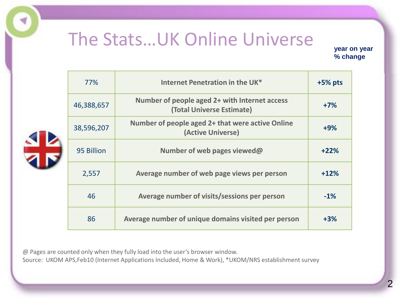#### The Stats…UK Online Universe

**year on year % change**

| Internet Penetration in the UK*<br>77% |                                                                            | $+5%$ pts |
|----------------------------------------|----------------------------------------------------------------------------|-----------|
| 46,388,657                             | Number of people aged 2+ with Internet access<br>(Total Universe Estimate) | $+7%$     |
| 38,596,207                             | Number of people aged 2+ that were active Online<br>(Active Universe)      | $+9%$     |
| 95 Billion                             | Number of web pages viewed@                                                | $+22%$    |
| 2,557                                  | Average number of web page views per person                                | $+12%$    |
| 46                                     | Average number of visits/sessions per person                               | $-1%$     |
| 86                                     | Average number of unique domains visited per person                        | $+3%$     |

@ Pages are counted only when they fully load into the user's browser window. Source: UKOM APS,Feb10 (Internet Applications Included, Home & Work), \*UKOM/NRS establishment survey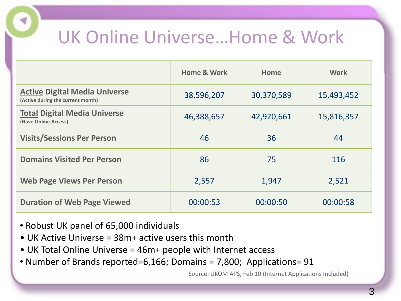### UK Online Universe…Home & Work

|                                                                           | <b>Home &amp; Work</b> | Home       | <b>Work</b> |
|---------------------------------------------------------------------------|------------------------|------------|-------------|
| <b>Active Digital Media Universe</b><br>(Active during the current month) | 38,596,207             | 30,370,589 | 15,493,452  |
| <b>Total Digital Media Universe</b><br>(Have Online Access)               | 46,388,657             | 42,920,661 | 15,816,357  |
| <b>Visits/Sessions Per Person</b>                                         | 46                     | 36         | 44          |
| <b>Domains Visited Per Person</b>                                         | 86                     | 75         | 116         |
| <b>Web Page Views Per Person</b>                                          | 2,557                  | 1,947      | 2,521       |
| <b>Duration of Web Page Viewed</b>                                        | 00:00:53               | 00:00:50   | 00:00:58    |

- Robust UK panel of 65,000 individuals
- UK Active Universe = 38m+ active users this month
- UK Total Online Universe = 46m+ people with Internet access
- Number of Brands reported=6,166; Domains = 7,800; Applications= 91

Source: UKOM APS, Feb 10 (Internet Applications Included)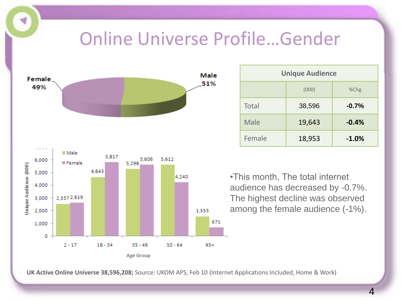#### Online Universe Profile…Gender



| <b>Unique Audience</b> |        |         |  |  |  |
|------------------------|--------|---------|--|--|--|
| (000)<br>$%$ Chg       |        |         |  |  |  |
| <b>Total</b>           | 38,596 | $-0.7%$ |  |  |  |
| <b>Male</b>            | 19,643 | $-0.4%$ |  |  |  |
| Female                 | 18,953 | $-1.0%$ |  |  |  |

•This month, The total internet audience has decreased by -0.7%. The highest decline was observed among the female audience (-1%).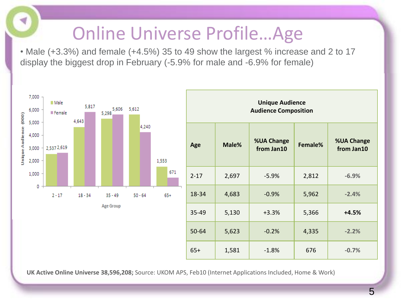### Online Universe Profile…Age

G

• Male (+3.3%) and female (+4.5%) 35 to 49 show the largest % increase and 2 to 17 display the biggest drop in February (-5.9% for male and -6.9% for female)

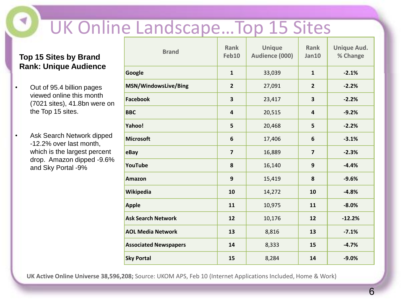## UK Online Landscape…Top 15 Sites

#### **Top 15 Sites by Brand Rank: Unique Audience**

- Out of 95.4 billion pages viewed online this month (7021 sites), 41.8bn were on the Top 15 sites.
- Ask Search Network dipped -12.2% over last month, which is the largest percent drop. Amazon dipped -9.6% and Sky Portal -9%

| <b>Brand</b>                 | <b>Rank</b><br>Feb10    | <b>Unique</b><br>Audience (000) | <b>Rank</b><br>Jan10    | <b>Unique Aud.</b><br>% Change |
|------------------------------|-------------------------|---------------------------------|-------------------------|--------------------------------|
| Google                       | $\mathbf{1}$            | 33,039                          | $\mathbf{1}$            | $-2.1%$                        |
| MSN/WindowsLive/Bing         | $\overline{2}$          | 27,091                          | $\overline{2}$          | $-2.2%$                        |
| <b>Facebook</b>              | 3                       | 23,417                          | 3                       | $-2.2%$                        |
| <b>BBC</b>                   | $\overline{\mathbf{4}}$ | 20,515                          | $\overline{\mathbf{4}}$ | $-9.2%$                        |
| Yahoo!                       | 5                       | 20,468                          | 5                       | $-2.2%$                        |
| <b>Microsoft</b>             | 6                       | 17,406                          | $\boldsymbol{6}$        | $-3.1%$                        |
| eBay                         | $\overline{\mathbf{z}}$ | 16,889                          | $\overline{\mathbf{z}}$ | $-2.3%$                        |
| YouTube                      | 8                       | 16,140                          | 9                       | $-4.4%$                        |
| <b>Amazon</b>                | $\boldsymbol{9}$        | 15,419                          | 8                       | $-9.6%$                        |
| Wikipedia                    | 10                      | 14,272                          | 10                      | $-4.8%$                        |
| <b>Apple</b>                 | 11                      | 10,975                          | 11                      | $-8.0%$                        |
| <b>Ask Search Network</b>    | 12                      | 10,176                          | 12                      | $-12.2%$                       |
| <b>AOL Media Network</b>     | 13                      | 8,816                           | 13                      | $-7.1%$                        |
| <b>Associated Newspapers</b> | 14                      | 8,333                           | 15                      | $-4.7%$                        |
| <b>Sky Portal</b>            | 15                      | 8,284                           | 14                      | $-9.0%$                        |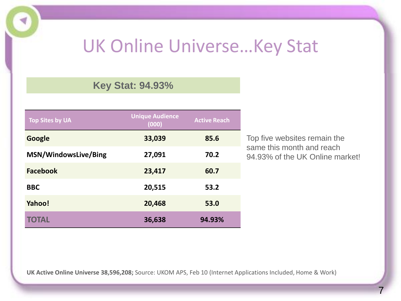#### UK Online Universe…Key Stat

#### **Key Stat: 94.93%**

| <b>Top Sites by UA</b> | <b>Unique Audience</b><br>(000) | <b>Active Reach</b> |
|------------------------|---------------------------------|---------------------|
| Google                 | 33,039                          | 85.6                |
| MSN/WindowsLive/Bing   | 27,091                          | 70.2                |
| <b>Facebook</b>        | 23,417                          | 60.7                |
| <b>BBC</b>             | 20,515                          | 53.2                |
| Yahoo!                 | 20,468                          | 53.0                |
| <b>TOTAL</b>           | 36,638                          | 94.93%              |

Top five websites remain the same this month and reach 94.93% of the UK Online market!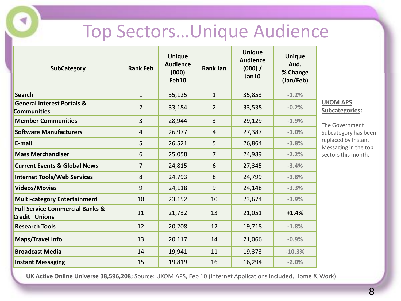#### Top Sectors…Unique Audience

| <b>SubCategory</b>                                                 | <b>Rank Feb</b> | <b>Unique</b><br><b>Audience</b><br>(000)<br>Feb10 | <b>Rank Jan</b> | <b>Unique</b><br><b>Audience</b><br>(000) /<br>Jan10 | <b>Unique</b><br>Aud.<br>% Change<br>(Jan/Feb) |                                                    |
|--------------------------------------------------------------------|-----------------|----------------------------------------------------|-----------------|------------------------------------------------------|------------------------------------------------|----------------------------------------------------|
| <b>Search</b>                                                      | $\mathbf{1}$    | 35,125                                             | $\mathbf{1}$    | 35,853                                               | $-1.2%$                                        |                                                    |
| <b>General Interest Portals &amp;</b><br><b>Communities</b>        | $\overline{2}$  | 33,184                                             | $\overline{2}$  | 33,538                                               | $-0.2%$                                        | $\overline{\mathsf{C}}$<br>$\overline{\mathsf{S}}$ |
| <b>Member Communities</b>                                          | $\overline{3}$  | 28,944                                             | $\overline{3}$  | 29,129                                               | $-1.9%$                                        | T                                                  |
| <b>Software Manufacturers</b>                                      | 4               | 26,977                                             | $\overline{4}$  | 27,387                                               | $-1.0%$                                        | S                                                  |
| E-mail                                                             | 5               | 26,521                                             | 5               | 26,864                                               | $-3.8%$                                        | r<br>$\mathsf N$                                   |
| <b>Mass Merchandiser</b>                                           | 6               | 25,058                                             | $\overline{7}$  | 24,989                                               | $-2.2%$                                        | S(                                                 |
| <b>Current Events &amp; Global News</b>                            | $\overline{7}$  | 24,815                                             | 6               | 27,345                                               | $-3.4%$                                        |                                                    |
| <b>Internet Tools/Web Services</b>                                 | 8               | 24,793                                             | 8               | 24,799                                               | $-3.8%$                                        |                                                    |
| <b>Videos/Movies</b>                                               | 9               | 24,118                                             | $\overline{9}$  | 24,148                                               | $-3.3%$                                        |                                                    |
| <b>Multi-category Entertainment</b>                                | 10              | 23,152                                             | 10              | 23,674                                               | $-3.9%$                                        |                                                    |
| <b>Full Service Commercial Banks &amp;</b><br><b>Credit Unions</b> | 11              | 21,732                                             | 13              | 21,051                                               | $+1.4%$                                        |                                                    |
| <b>Research Tools</b>                                              | 12              | 20,208                                             | 12              | 19,718                                               | $-1.8%$                                        |                                                    |
| <b>Maps/Travel Info</b>                                            | 13              | 20,117                                             | 14              | 21,066                                               | $-0.9%$                                        |                                                    |
| <b>Broadcast Media</b>                                             | 14              | 19,941                                             | 11              | 19,373                                               | $-10.3%$                                       |                                                    |
| <b>Instant Messaging</b>                                           | 15              | 19,819                                             | 16              | 16,294                                               | $-2.0%$                                        |                                                    |

ď

**KOM APS Subcategories:**

he Government ubcategory has been eplaced by Instant Messaging in the top ectors this month.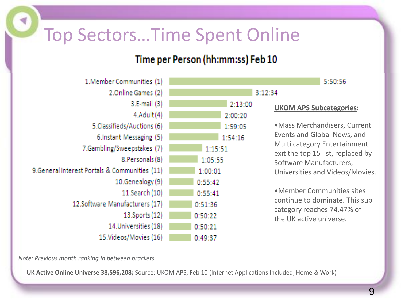### Top Sectors…Time Spent Online

#### Time per Person (hh:mm:ss) Feb 10

| 1.Member Communities (1)                       |         |
|------------------------------------------------|---------|
| 2.Online Games (2)                             |         |
| 3.E-mail (3)                                   | 2:13:00 |
| $4$ .Adult $(4)$                               | 2:00:20 |
| 5.Classifieds/Auctions (6)                     | 1:59:05 |
| 6. Instant Messaging (5)                       | 1:54:16 |
| 7.Gambling/Sweepstakes (7)                     | 1:15:51 |
| 8. Personals (8)                               | 1:05:55 |
| 9. General Interest Portals & Communities (11) | 1:00:01 |
| 10.Genealogy (9)                               | 0:55:42 |
| 11.Search (10)                                 | 0:55:41 |
| 12.Software Manufacturers (17)                 | 0:51:36 |
| $13.$ Sports $(12)$                            | 0:50:22 |
| 14. Universities (18)                          | 0:50:21 |
| 15. Videos/Movies (16)                         | 0:49:37 |

#### 5:50:56

#### **UKOM APS Subcategories:**

 $3:12:34$ 

•Mass Merchandisers, Current Events and Global News, and Multi category Entertainment exit the top 15 list, replaced by Software Manufacturers, Universities and Videos/Movies.

•Member Communities sites continue to dominate. This sub category reaches 74.47% of the UK active universe.

*Note: Previous month ranking in between brackets*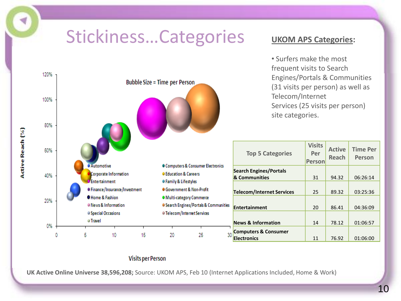### Stickiness…Categories



#### **Visits per Person**

**UK Active Online Universe 38,596,208;** Source: UKOM APS, Feb 10 (Internet Applications Included, Home & Work)

**UKOM APS Categories:**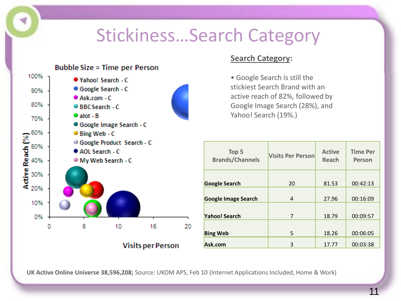### Stickiness…Search Category



#### **Search Category:**

• Google Search is still the stickiest Search Brand with an active reach of 82%, followed by Google Image Search (28%), and Yahoo! Search (19%.)

| Top 5<br><b>Brands/Channels</b> | <b>Visits Per Person</b> | <b>Active</b><br>Reach | <b>Time Per</b><br><b>Person</b> |
|---------------------------------|--------------------------|------------------------|----------------------------------|
| <b>Google Search</b>            | 20                       | 81.53                  | 00:42:13                         |
| <b>Google Image Search</b>      | 4                        | 27.96                  | 00:16:09                         |
| <b>Yahoo! Search</b>            | 7                        | 18.79                  | 00:09:57                         |
| <b>Bing Web</b>                 | 5                        | 18.26                  | 00:06:05                         |
| Ask.com                         | 3                        | 17.77                  | 00:03:38                         |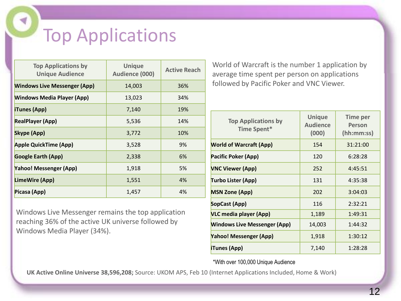### Top Applications

| <b>Top Applications by</b><br><b>Unique Audience</b> | <b>Unique</b><br>Audience (000) | <b>Active Reach</b> |
|------------------------------------------------------|---------------------------------|---------------------|
| <b>Windows Live Messenger (App)</b>                  | 14,003                          | 36%                 |
| <b>Windows Media Player (App)</b>                    | 13,023                          | 34%                 |
| <b>iTunes (App)</b>                                  | 7,140                           | 19%                 |
| <b>RealPlayer (App)</b>                              | 5,536                           | 14%                 |
| <b>Skype (App)</b>                                   | 3,772                           | 10%                 |
| <b>Apple QuickTime (App)</b>                         | 3,528                           | 9%                  |
| <b>Google Earth (App)</b>                            | 2,338                           | 6%                  |
| <b>Yahoo! Messenger (App)</b>                        | 1,918                           | 5%                  |
| LimeWire (App)                                       | 1,551                           | 4%                  |
| Picasa (App)                                         | 1,457                           | 4%                  |

Windows Live Messenger remains the top application reaching 36% of the active UK universe followed by Windows Media Player (34%).

World of Warcraft is the number 1 application by average time spent per person on applications followed by Pacific Poker and VNC Viewer.

| <b>Top Applications by</b><br><b>Time Spent*</b> | <b>Unique</b><br><b>Audience</b><br>(000) | <b>Time per</b><br>Person<br>(hh:mm:ss) |
|--------------------------------------------------|-------------------------------------------|-----------------------------------------|
| <b>World of Warcraft (App)</b>                   | 154                                       | 31:21:00                                |
| Pacific Poker (App)                              | 120                                       | 6:28:28                                 |
| <b>VNC Viewer (App)</b>                          | 252                                       | 4:45:51                                 |
| Turbo Lister (App)                               | 131                                       | 4:35:38                                 |
| <b>MSN Zone (App)</b>                            | 202                                       | 3:04:03                                 |
| SopCast (App)                                    | 116                                       | 2:32:21                                 |
| VLC media player (App)                           | 1,189                                     | 1:49:31                                 |
| <b>Windows Live Messenger (App)</b>              | 14,003                                    | 1:44:32                                 |
| Yahoo! Messenger (App)                           | 1,918                                     | 1:30:12                                 |
| iTunes (App)                                     | 7,140                                     | 1:28:28                                 |

\*With over 100,000 Unique Audience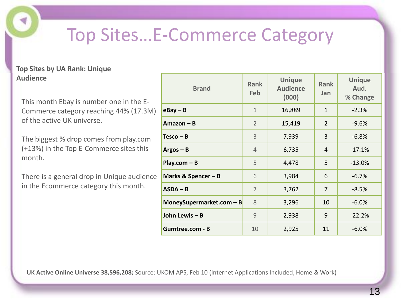### Top Sites…E-Commerce Category

#### **Top Sites by UA Rank: Unique Audience**

This month Ebay is number one in the E-Commerce category reaching 44% (17.3M) of the active UK universe.

The biggest % drop comes from play.com (+13%) in the Top E-Commerce sites this month.

There is a general drop in Unique audience in the Ecommerce category this month.

| <b>Brand</b>               | <b>Rank</b><br><b>Feb</b> | <b>Unique</b><br><b>Audience</b><br>(000) | <b>Rank</b><br>Jan | <b>Unique</b><br>Aud.<br>% Change |
|----------------------------|---------------------------|-------------------------------------------|--------------------|-----------------------------------|
| $e$ Bay – B                | $\mathbf{1}$              | 16,889                                    | $\mathbf{1}$       | $-2.3%$                           |
| $A$ mazon – B              | $\overline{2}$            | 15,419                                    | $\overline{2}$     | $-9.6%$                           |
| $Tesco - B$                | 3                         | 7,939                                     | 3                  | $-6.8%$                           |
| $Argos - B$                | $\overline{4}$            | 6,735                                     | $\overline{4}$     | $-17.1%$                          |
| $Play.com - B$             | 5                         | 4,478                                     | 5                  | $-13.0%$                          |
| Marks & Spencer $- B$      | 6                         | 3,984                                     | 6                  | $-6.7%$                           |
| $ASDA - B$                 | 7                         | 3,762                                     | 7                  | $-8.5%$                           |
| MoneySupermarket.com $- B$ | 8                         | 3,296                                     | 10                 | $-6.0%$                           |
| John Lewis - B             | 9                         | 2,938                                     | 9                  | $-22.2%$                          |
| Gumtree.com - B            | 10                        | 2,925                                     | 11                 | $-6.0%$                           |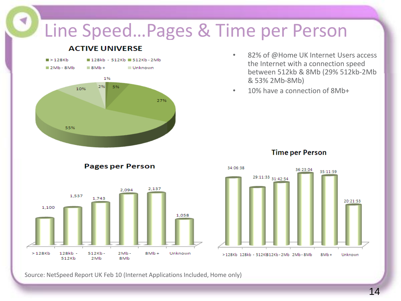#### Line Speed…Pages & Time per Person

1,058

Unknown



1,100

 $>128<sub>kb</sub>$ 

128kb -

512Kb

 $512Kb -$ 

 $2Mb$ 

#### **ACTIVE UNIVERSE**

- 82% of @Home UK Internet Users access the Internet with a connection speed between 512kb & 8Mb (29% 512kb-2Mb & 53% 2Mb-8Mb)
- 10% have a connection of 8Mb+



#### **Time per Person**

Source: NetSpeed Report UK Feb 10 (Internet Applications Included, Home only)

 $8Mb +$ 

 $2Mb -$ 

8Mb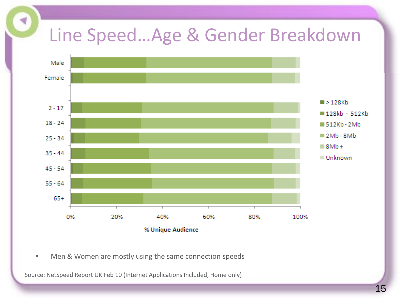### Line Speed…Age & Gender Breakdown



• Men & Women are mostly using the same connection speeds

Source: NetSpeed Report UK Feb 10 (Internet Applications Included, Home only)

∢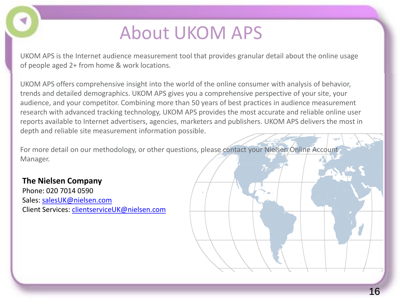### About UKOM APS

UKOM APS is the Internet audience measurement tool that provides granular detail about the online usage of people aged 2+ from home & work locations.

UKOM APS offers comprehensive insight into the world of the online consumer with analysis of behavior, trends and detailed demographics. UKOM APS gives you a comprehensive perspective of your site, your audience, and your competitor. Combining more than 50 years of best practices in audience measurement research with advanced tracking technology, UKOM APS provides the most accurate and reliable online user reports available to Internet advertisers, agencies, marketers and publishers. UKOM APS delivers the most in depth and reliable site measurement information possible.

For more detail on our methodology, or other questions, please contact your Nielsen Online Account Manager.

#### **The Nielsen Company**

Phone: 020 7014 0590 Sales: [salesUK@nielsen.com](mailto:salesUK@nielsen.com) Client Services: [clientserviceUK@nielsen.com](mailto:clientserviceUK@netratings.com)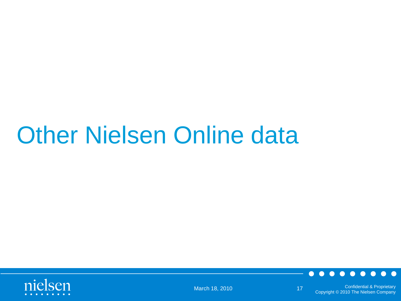# **Other Nielsen Online data**





Confidential & Proprietary March 18, 2010 17 Confidential & Proprietary<br>Copyright © 2010 The Nielsen Company 17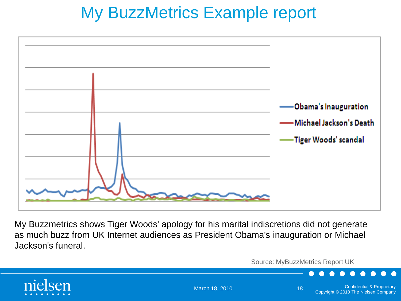#### My BuzzMetrics Example report



My Buzzmetrics shows Tiger Woods' apology for his marital indiscretions did not generate as much buzz from UK Internet audiences as President Obama's inauguration or Michael Jackson's funeral.

Source: MyBuzzMetrics Report UK



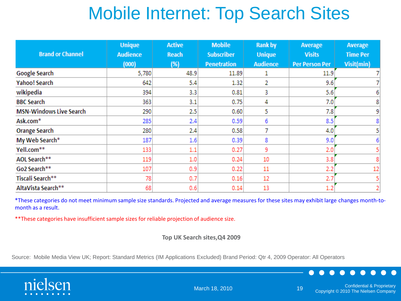### Mobile Internet: Top Search Sites

| <b>Brand or Channel</b>        | <b>Unique</b><br><b>Audience</b><br>(000) | <b>Active</b><br><b>Reach</b><br>(%) | <b>Mobile</b><br><b>Subscriber</b><br><b>Penetration</b> | <b>Rank by</b><br><b>Unique</b><br><b>Audience</b> | Average<br><b>Visits</b><br><b>Per Person Per</b> | Average<br><b>Time Per</b><br>Visit(min) |
|--------------------------------|-------------------------------------------|--------------------------------------|----------------------------------------------------------|----------------------------------------------------|---------------------------------------------------|------------------------------------------|
| <b>Google Search</b>           | 5,780                                     | 48.9                                 | 11.89                                                    | 1                                                  | 11.9                                              |                                          |
| <b>Yahoo! Search</b>           | 642                                       | 5.4                                  | 1.32                                                     | 2                                                  | 9.6                                               |                                          |
| wikipedia                      | 394                                       | 3.3                                  | 0.81                                                     | 3                                                  | 5.6                                               | 6                                        |
| <b>BBC Search</b>              | 363                                       | 3.1                                  | 0.75                                                     | 4                                                  | 7.0                                               | 8                                        |
| <b>MSN-Windows Live Search</b> | 290                                       | 2.5                                  | 0.60                                                     | 5                                                  | 7.8                                               | 9                                        |
| Ask.com <sup>*</sup>           | 285                                       | 2.4                                  | 0.59                                                     | 6                                                  | 8.5                                               | 8                                        |
| <b>Orange Search</b>           | 280                                       | 2.4                                  | 0.58                                                     | 7                                                  | 4.0                                               | 5                                        |
| My Web Search*                 | 187                                       | 1.6                                  | 0.39                                                     | 8                                                  | 9.0                                               | 6                                        |
| Yell.com**                     | 133                                       | 1.1                                  | 0.27                                                     | 9                                                  | 2.0                                               |                                          |
| AOL Search**                   | 119                                       | 1.0                                  | 0.24                                                     | 10                                                 | 3.8                                               | 8                                        |
| Go2 Search**                   | 107                                       | 0.9                                  | 0.22                                                     | 11                                                 | 2.2                                               | 12                                       |
| Tiscali Search**               | 78                                        | 0.7                                  | 0.16                                                     | 12                                                 | 2.7                                               | 5                                        |
| AltaVista Search**             | 68                                        | 0.6                                  | 0.14                                                     | 13                                                 | 1.2                                               | 2                                        |

\*These categories do not meet minimum sample size standards. Projected and average measures for these sites may exhibit large changes month-tomonth as a result.

\*\*These categories have insufficient sample sizes for reliable projection of audience size.

**Top UK Search sites,Q4 2009**

Source: Mobile Media View UK; Report: Standard Metrics (IM Applications Excluded) Brand Period: Qtr 4, 2009 Operator: All Operators



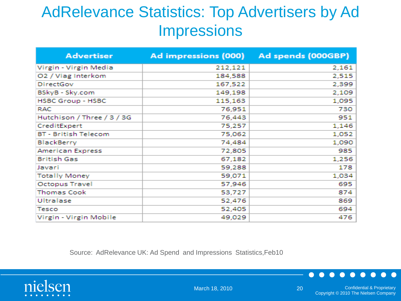#### AdRelevance Statistics: Top Advertisers by Ad **Impressions**

| <b>Advertiser</b>              | Ad impressions (000) | Ad spends (000GBP) |
|--------------------------------|----------------------|--------------------|
| Virgin - Virgin Media          | 212,121              | 2,161              |
| O <sub>2</sub> / Viag Interkom | 184,588              | 2,515              |
| DirectGov                      | 167,522              | 2,399              |
| BSkyB - Sky.com                | 149,198              | 2,109              |
| <b>HSBC Group - HSBC</b>       | 115,163              | 1,095              |
| <b>RAC</b>                     | 76,951               | 730                |
| Hutchison / Three / 3 / 3G     | 76,443               | 951                |
| CreditExpert                   | 75,257               | 1,146              |
| <b>BT - British Telecom</b>    | 75,062               | 1,052              |
| BlackBerry                     | 74,484               | 1,090              |
| American Express               | 72,805               | 985                |
| <b>British Gas</b>             | 67,182               | 1,256              |
| Javari                         | 59,288               | 178                |
| <b>Totally Money</b>           | 59,071               | 1,034              |
| <b>Octopus Travel</b>          | 57,946               | 695                |
| <b>Thomas Cook</b>             | 53,727               | 874                |
| Ultralase                      | 52,476               | 869                |
| Tesco                          | 52,405               | 694                |
| Virgin - Virgin Mobile         | 49,029               | 476                |

Source: AdRelevance UK: Ad Spend and Impressions Statistics,Feb10

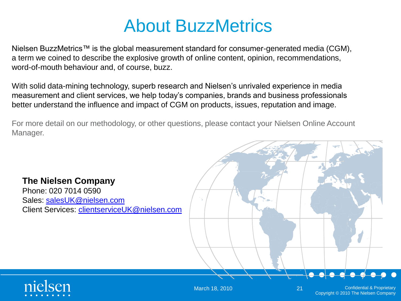#### About BuzzMetrics

Nielsen BuzzMetrics™ is the global measurement standard for consumer-generated media (CGM), a term we coined to describe the explosive growth of online content, opinion, recommendations, word-of-mouth behaviour and, of course, buzz.

With solid data-mining technology, superb research and Nielsen's unrivaled experience in media measurement and client services, we help today's companies, brands and business professionals better understand the influence and impact of CGM on products, issues, reputation and image.

For more detail on our methodology, or other questions, please contact your Nielsen Online Account Manager.

#### **The Nielsen Company** Phone: 020 7014 0590 Sales: [salesUK@nielsen.com](mailto:salesUK@nielsen.com)

Client Services: [clientserviceUK@nielsen.com](mailto:clientserviceUK@netratings.com)



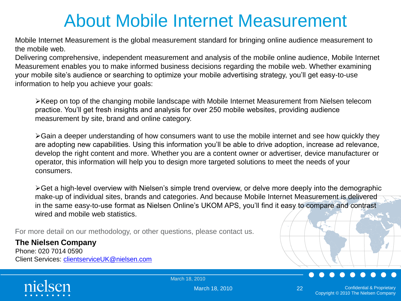### About Mobile Internet Measurement

Mobile Internet Measurement is the global measurement standard for bringing online audience measurement to the mobile web.

Delivering comprehensive, independent measurement and analysis of the mobile online audience, Mobile Internet Measurement enables you to make informed business decisions regarding the mobile web. Whether examining your mobile site's audience or searching to optimize your mobile advertising strategy, you'll get easy-to-use information to help you achieve your goals:

Keep on top of the changing mobile landscape with Mobile Internet Measurement from Nielsen telecom practice. You'll get fresh insights and analysis for over 250 mobile websites, providing audience measurement by site, brand and online category.

Gain a deeper understanding of how consumers want to use the mobile internet and see how quickly they are adopting new capabilities. Using this information you'll be able to drive adoption, increase ad relevance, develop the right content and more. Whether you are a content owner or advertiser, device manufacturer or operator, this information will help you to design more targeted solutions to meet the needs of your consumers.

≻Get a high-level overview with Nielsen's simple trend overview, or delve more deeply into the demographic make-up of individual sites, brands and categories. And because Mobile Internet Measurement is delivered in the same easy-to-use format as Nielsen Online's UKOM APS, you'll find it easy to compare and contrast wired and mobile web statistics.

For more detail on our methodology, or other questions, please contact us.

#### **The Nielsen Company**

Phone: 020 7014 0590 Client Services: [clientserviceUK@nielsen.com](mailto:clientserviceUK@nielsen.com)



March 18, 2010

March 18, 2010 **22**